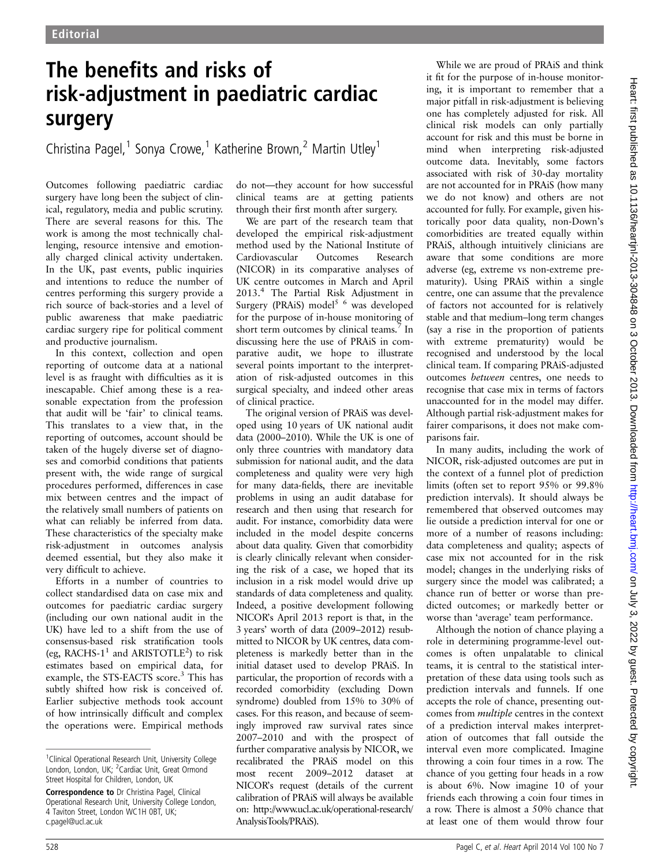## The benefits and risks of risk-adjustment in paediatric cardiac surgery

Christina Pagel,<sup>1</sup> Sonya Crowe,<sup>1</sup> Katherine Brown,<sup>2</sup> Martin Utley<sup>1</sup>

Outcomes following paediatric cardiac surgery have long been the subject of clinical, regulatory, media and public scrutiny. There are several reasons for this. The work is among the most technically challenging, resource intensive and emotionally charged clinical activity undertaken. In the UK, past events, public inquiries and intentions to reduce the number of centres performing this surgery provide a rich source of back-stories and a level of public awareness that make paediatric cardiac surgery ripe for political comment and productive journalism.

In this context, collection and open reporting of outcome data at a national level is as fraught with difficulties as it is inescapable. Chief among these is a reasonable expectation from the profession that audit will be 'fair' to clinical teams. This translates to a view that, in the reporting of outcomes, account should be taken of the hugely diverse set of diagnoses and comorbid conditions that patients present with, the wide range of surgical procedures performed, differences in case mix between centres and the impact of the relatively small numbers of patients on what can reliably be inferred from data. These characteristics of the specialty make risk-adjustment in outcomes analysis deemed essential, but they also make it very difficult to achieve.

Efforts in a number of countries to collect standardised data on case mix and outcomes for paediatric cardiac surgery (including our own national audit in the UK) have led to a shift from the use of consensus-based risk stratification tools (eg, RACHS- $1^1$  and ARISTOTLE<sup>2</sup>) to risk estimates based on empirical data, for example, the STS-EACTS score.<sup>3</sup> This has subtly shifted how risk is conceived of. Earlier subjective methods took account of how intrinsically difficult and complex the operations were. Empirical methods

do not—they account for how successful clinical teams are at getting patients through their first month after surgery.

We are part of the research team that developed the empirical risk-adjustment method used by the National Institute of Cardiovascular Outcomes Research (NICOR) in its comparative analyses of UK centre outcomes in March and April 2013.4 The Partial Risk Adjustment in Surgery (PRAiS) model<sup>5 6</sup> was developed for the purpose of in-house monitoring of short term outcomes by clinical teams.<sup>7</sup> In discussing here the use of PRAiS in comparative audit, we hope to illustrate several points important to the interpretation of risk-adjusted outcomes in this surgical specialty, and indeed other areas of clinical practice.

The original version of PRAiS was developed using 10 years of UK national audit data (2000–2010). While the UK is one of only three countries with mandatory data submission for national audit, and the data completeness and quality were very high for many data-fields, there are inevitable problems in using an audit database for research and then using that research for audit. For instance, comorbidity data were included in the model despite concerns about data quality. Given that comorbidity is clearly clinically relevant when considering the risk of a case, we hoped that its inclusion in a risk model would drive up standards of data completeness and quality. Indeed, a positive development following NICOR's April 2013 report is that, in the 3 years' worth of data (2009–2012) resubmitted to NICOR by UK centres, data completeness is markedly better than in the initial dataset used to develop PRAiS. In particular, the proportion of records with a recorded comorbidity (excluding Down syndrome) doubled from 15% to 30% of cases. For this reason, and because of seemingly improved raw survival rates since 2007–2010 and with the prospect of further comparative analysis by NICOR, we recalibrated the PRAiS model on this most recent 2009–2012 dataset at NICOR's request (details of the current calibration of PRAiS will always be available on: [http://www.ucl.ac.uk/operational-research/](http://www.ucl.ac.uk/operational-research/AnalysisTools/PRAiS) [AnalysisTools/PRAiS\)](http://www.ucl.ac.uk/operational-research/AnalysisTools/PRAiS).

While we are proud of PRAiS and think it fit for the purpose of in-house monitoring, it is important to remember that a major pitfall in risk-adjustment is believing one has completely adjusted for risk. All clinical risk models can only partially account for risk and this must be borne in mind when interpreting risk-adjusted outcome data. Inevitably, some factors associated with risk of 30-day mortality are not accounted for in PRAiS (how many we do not know) and others are not accounted for fully. For example, given historically poor data quality, non-Down's comorbidities are treated equally within PRAiS, although intuitively clinicians are aware that some conditions are more adverse (eg, extreme vs non-extreme prematurity). Using PRAiS within a single centre, one can assume that the prevalence of factors not accounted for is relatively stable and that medium–long term changes (say a rise in the proportion of patients with extreme prematurity) would be recognised and understood by the local clinical team. If comparing PRAiS-adjusted outcomes between centres, one needs to recognise that case mix in terms of factors unaccounted for in the model may differ. Although partial risk-adjustment makes for fairer comparisons, it does not make comparisons fair.

In many audits, including the work of NICOR, risk-adjusted outcomes are put in the context of a funnel plot of prediction limits (often set to report 95% or 99.8% prediction intervals). It should always be remembered that observed outcomes may lie outside a prediction interval for one or more of a number of reasons including: data completeness and quality; aspects of case mix not accounted for in the risk model; changes in the underlying risks of surgery since the model was calibrated; a chance run of better or worse than predicted outcomes; or markedly better or worse than 'average' team performance.

Although the notion of chance playing a role in determining programme-level outcomes is often unpalatable to clinical teams, it is central to the statistical interpretation of these data using tools such as prediction intervals and funnels. If one accepts the role of chance, presenting outcomes from multiple centres in the context of a prediction interval makes interpretation of outcomes that fall outside the interval even more complicated. Imagine throwing a coin four times in a row. The chance of you getting four heads in a row is about 6%. Now imagine 10 of your friends each throwing a coin four times in a row. There is almost a 50% chance that at least one of them would throw four

<sup>&</sup>lt;sup>1</sup> Clinical Operational Research Unit, University College London, London, UK; <sup>2</sup>Cardiac Unit, Great Ormond Street Hospital for Children, London, UK

Correspondence to Dr Christina Pagel, Clinical Operational Research Unit, University College London, 4 Taviton Street, London WC1H 0BT, UK; c.pagel@ucl.ac.uk